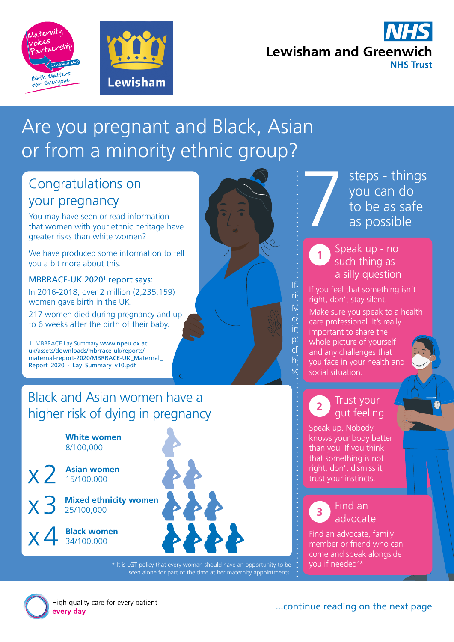



# **Lewisham and Greenwich NHS Trust**

# Are you pregnant and Black, Asian or from a minority ethnic group?

# Congratulations on your pregnancy

You may have seen or read information that women with your ethnic heritage have greater risks than white women?

We have produced some information to tell you a bit more about this.

#### MBRRACE-UK 2020<sup>1</sup> report says:

In 2016-2018, over 2 million (2,235,159) women gave birth in the UK.

217 women died during pregnancy and up to 6 weeks after the birth of their baby.

1. MBBRACE Lay Summary [www.npeu.ox.ac.](https://www.npeu.ox.ac.uk/assets/downloads/mbrrace-uk/reports/maternal-report-2020/MBRRACE-UK_Maternal_Report_2020_-_Lay_Summary_v10.pdf) [uk/assets/downloads/mbrrace-uk/reports/](https://www.npeu.ox.ac.uk/assets/downloads/mbrrace-uk/reports/maternal-report-2020/MBRRACE-UK_Maternal_Report_2020_-_Lay_Summary_v10.pdf) maternal-report-2020/MBRRACE-UK\_Maternal [Report\\_2020\\_-\\_Lay\\_Summary\\_v10.pdf](https://www.npeu.ox.ac.uk/assets/downloads/mbrrace-uk/reports/maternal-report-2020/MBRRACE-UK_Maternal_Report_2020_-_Lay_Summary_v10.pdf)

# Black and Asian women have a higher risk of dying in pregnancy

**White women** 8/100,000

**Asian women**  $x<sub>2</sub>$ 15/100,000

**Mixed ethnicity women**

**Black women** 34/100,000



<sup>\*</sup> It is LGT policy that every woman should have an opportunity to be seen alone for part of the time at her maternity appointments.

steps - things you can do to be as safe as possible

## Speak up - no Speak up - no such thing as such thing as a silly question a silly question

**1**

If:  $\frac{f}{f}$  If you feel that something isn't ri: right, don't stay silent.  $\mathcal{N}$  Make sure you speak to a health care professional. It's really care professional. It's really  $\mathsf{in}^{\mathsf{L}}$  important to share the  $\overrightarrow{P}$  whole picture of yourself  $\mathsf{c}$  and any challenges that h: you face in your health and  $s^{\prime}$  social situation.

#### Trust your gut feeling **2**

Speak up. Nobody knows your body better than you. If you think that something is not right, don't dismiss it, trust your instincts.

## advocate **3**

Find an advocate, family member or friend who can come and speak alongside you if needed'\*



High quality care for every patient every day

...continue reading on the next page